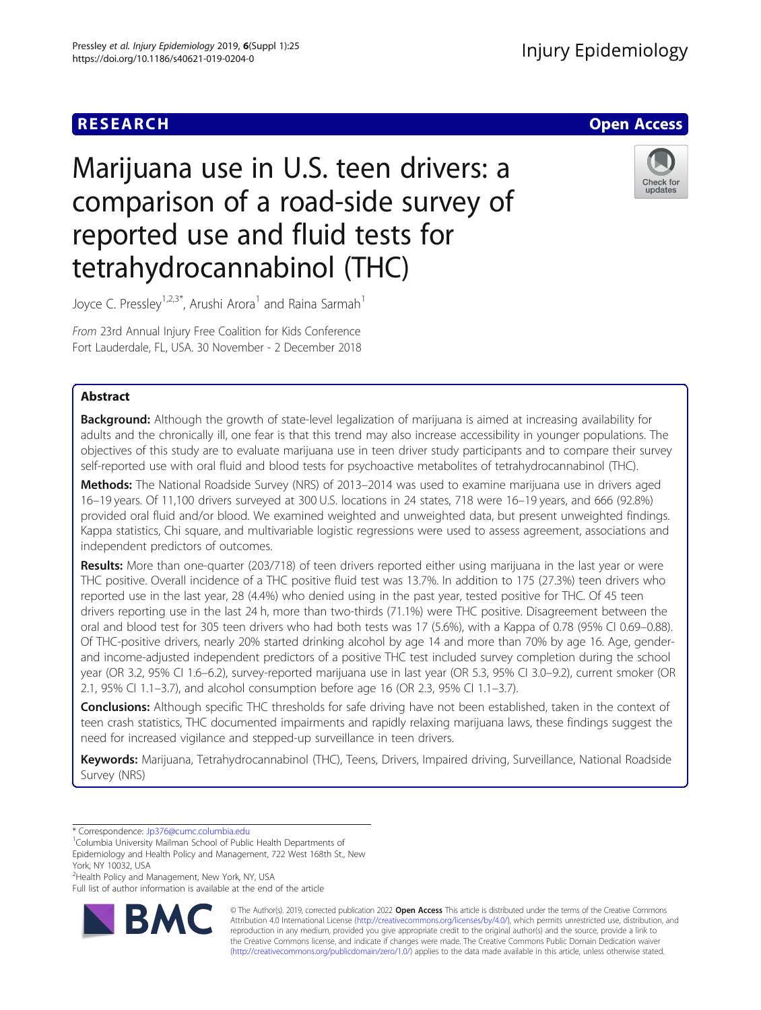## **RESEARCH CHE Open Access**

# Marijuana use in U.S. teen drivers: a comparison of a road-side survey of reported use and fluid tests for tetrahydrocannabinol (THC)



Joyce C. Pressley<sup>1,2,3\*</sup>, Arushi Arora<sup>1</sup> and Raina Sarmah<sup>1</sup>

From 23rd Annual Injury Free Coalition for Kids Conference Fort Lauderdale, FL, USA. 30 November - 2 December 2018

### Abstract

**Background:** Although the growth of state-level legalization of marijuana is aimed at increasing availability for adults and the chronically ill, one fear is that this trend may also increase accessibility in younger populations. The objectives of this study are to evaluate marijuana use in teen driver study participants and to compare their survey self-reported use with oral fluid and blood tests for psychoactive metabolites of tetrahydrocannabinol (THC).

Methods: The National Roadside Survey (NRS) of 2013–2014 was used to examine marijuana use in drivers aged 16–19 years. Of 11,100 drivers surveyed at 300 U.S. locations in 24 states, 718 were 16–19 years, and 666 (92.8%) provided oral fluid and/or blood. We examined weighted and unweighted data, but present unweighted findings. Kappa statistics, Chi square, and multivariable logistic regressions were used to assess agreement, associations and independent predictors of outcomes.

Results: More than one-quarter (203/718) of teen drivers reported either using marijuana in the last year or were THC positive. Overall incidence of a THC positive fluid test was 13.7%. In addition to 175 (27.3%) teen drivers who reported use in the last year, 28 (4.4%) who denied using in the past year, tested positive for THC. Of 45 teen drivers reporting use in the last 24 h, more than two-thirds (71.1%) were THC positive. Disagreement between the oral and blood test for 305 teen drivers who had both tests was 17 (5.6%), with a Kappa of 0.78 (95% CI 0.69–0.88). Of THC-positive drivers, nearly 20% started drinking alcohol by age 14 and more than 70% by age 16. Age, genderand income-adjusted independent predictors of a positive THC test included survey completion during the school year (OR 3.2, 95% CI 1.6–6.2), survey-reported marijuana use in last year (OR 5.3, 95% CI 3.0–9.2), current smoker (OR 2.1, 95% CI 1.1–3.7), and alcohol consumption before age 16 (OR 2.3, 95% CI 1.1–3.7).

**Conclusions:** Although specific THC thresholds for safe driving have not been established, taken in the context of teen crash statistics, THC documented impairments and rapidly relaxing marijuana laws, these findings suggest the need for increased vigilance and stepped-up surveillance in teen drivers.

Keywords: Marijuana, Tetrahydrocannabinol (THC), Teens, Drivers, Impaired driving, Surveillance, National Roadside Survey (NRS)

<sup>2</sup> Health Policy and Management, New York, NY, USA

Full list of author information is available at the end of the article



© The Author(s). 2019, corrected publication 2022 Open Access This article is distributed under the terms of the Creative Commons Attribution 4.0 Intern[ational License \(http://creativecommons.org/l](http://creativecommons.org/licenses/by/4.0/)icenses/by/4.0/), which permits unrestricted use, distribution, and reproduction in any medium, provided you give appropriate credit to the original author(s) and the source, provide a link to the Creative Commons license, and indicate if changes were made. The Creative Commons Public Domain Dedication waiver [\(http://creativecommons.org/publicdomain/zero/1.0/](http://creativecommons.org/publicdomain/zero/1.0/)) applies to the data made available in this article, unless otherwise stated.

<sup>\*</sup> Correspondence: [Jp376@cumc.columbia.edu](mailto:Jp376@cumc.columbia.edu) <sup>1</sup>

<sup>&</sup>lt;sup>1</sup>Columbia University Mailman School of Public Health Departments of

Epidemiology and Health Policy and Management, 722 West 168th St., New York, NY 10032, USA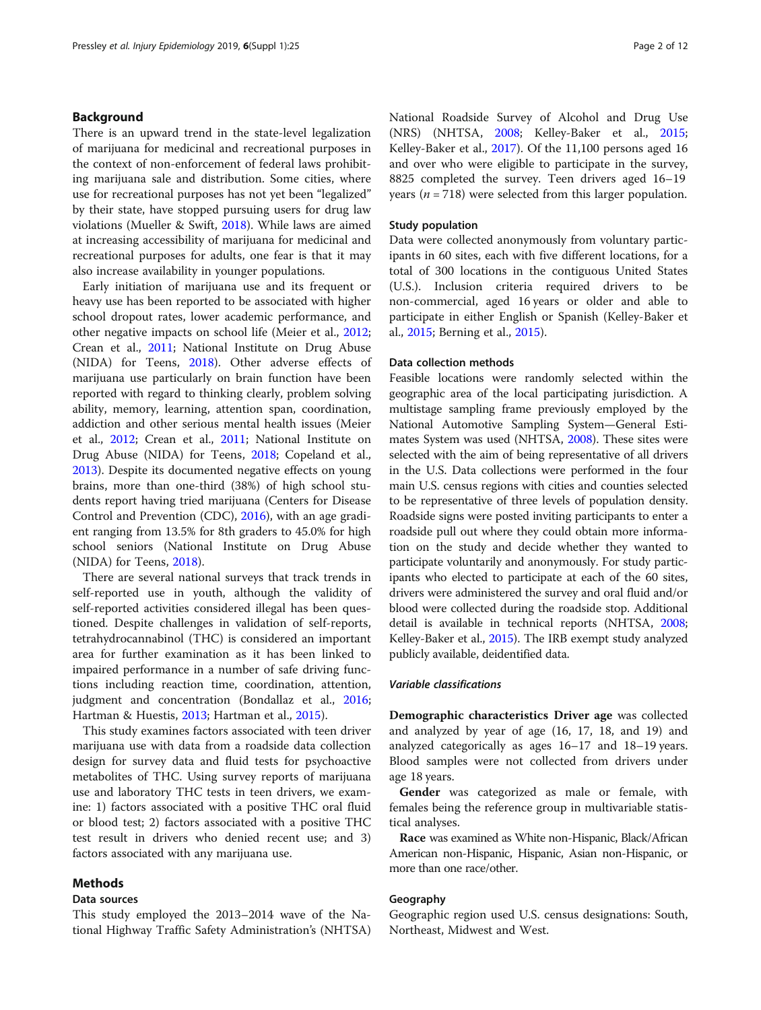#### Background

There is an upward trend in the state-level legalization of marijuana for medicinal and recreational purposes in the context of non-enforcement of federal laws prohibiting marijuana sale and distribution. Some cities, where use for recreational purposes has not yet been "legalized" by their state, have stopped pursuing users for drug law violations (Mueller & Swift, [2018](#page-11-0)). While laws are aimed at increasing accessibility of marijuana for medicinal and recreational purposes for adults, one fear is that it may also increase availability in younger populations.

Early initiation of marijuana use and its frequent or heavy use has been reported to be associated with higher school dropout rates, lower academic performance, and other negative impacts on school life (Meier et al., [2012](#page-11-0); Crean et al., [2011;](#page-11-0) National Institute on Drug Abuse (NIDA) for Teens, [2018\)](#page-11-0). Other adverse effects of marijuana use particularly on brain function have been reported with regard to thinking clearly, problem solving ability, memory, learning, attention span, coordination, addiction and other serious mental health issues (Meier et al., [2012;](#page-11-0) Crean et al., [2011](#page-11-0); National Institute on Drug Abuse (NIDA) for Teens, [2018](#page-11-0); Copeland et al., [2013](#page-10-0)). Despite its documented negative effects on young brains, more than one-third (38%) of high school students report having tried marijuana (Centers for Disease Control and Prevention (CDC), [2016](#page-10-0)), with an age gradient ranging from 13.5% for 8th graders to 45.0% for high school seniors (National Institute on Drug Abuse (NIDA) for Teens, [2018\)](#page-11-0).

There are several national surveys that track trends in self-reported use in youth, although the validity of self-reported activities considered illegal has been questioned. Despite challenges in validation of self-reports, tetrahydrocannabinol (THC) is considered an important area for further examination as it has been linked to impaired performance in a number of safe driving functions including reaction time, coordination, attention, judgment and concentration (Bondallaz et al., [2016](#page-10-0); Hartman & Huestis, [2013](#page-11-0); Hartman et al., [2015](#page-11-0)).

This study examines factors associated with teen driver marijuana use with data from a roadside data collection design for survey data and fluid tests for psychoactive metabolites of THC. Using survey reports of marijuana use and laboratory THC tests in teen drivers, we examine: 1) factors associated with a positive THC oral fluid or blood test; 2) factors associated with a positive THC test result in drivers who denied recent use; and 3) factors associated with any marijuana use.

#### Methods

#### Data sources

This study employed the 2013–2014 wave of the National Highway Traffic Safety Administration's (NHTSA) National Roadside Survey of Alcohol and Drug Use (NRS) (NHTSA, [2008](#page-11-0); Kelley-Baker et al., [2015](#page-11-0); Kelley-Baker et al., [2017](#page-11-0)). Of the 11,100 persons aged 16 and over who were eligible to participate in the survey, 8825 completed the survey. Teen drivers aged 16–19 years ( $n = 718$ ) were selected from this larger population.

#### Study population

Data were collected anonymously from voluntary participants in 60 sites, each with five different locations, for a total of 300 locations in the contiguous United States (U.S.). Inclusion criteria required drivers to be non-commercial, aged 16 years or older and able to participate in either English or Spanish (Kelley-Baker et al., [2015;](#page-11-0) Berning et al., [2015\)](#page-10-0).

#### Data collection methods

Feasible locations were randomly selected within the geographic area of the local participating jurisdiction. A multistage sampling frame previously employed by the National Automotive Sampling System—General Estimates System was used (NHTSA, [2008\)](#page-11-0). These sites were selected with the aim of being representative of all drivers in the U.S. Data collections were performed in the four main U.S. census regions with cities and counties selected to be representative of three levels of population density. Roadside signs were posted inviting participants to enter a roadside pull out where they could obtain more information on the study and decide whether they wanted to participate voluntarily and anonymously. For study participants who elected to participate at each of the 60 sites, drivers were administered the survey and oral fluid and/or blood were collected during the roadside stop. Additional detail is available in technical reports (NHTSA, [2008](#page-11-0); Kelley-Baker et al., [2015](#page-11-0)). The IRB exempt study analyzed publicly available, deidentified data.

#### Variable classifications

Demographic characteristics Driver age was collected and analyzed by year of age (16, 17, 18, and 19) and analyzed categorically as ages 16–17 and 18–19 years. Blood samples were not collected from drivers under age 18 years.

Gender was categorized as male or female, with females being the reference group in multivariable statistical analyses.

Race was examined as White non-Hispanic, Black/African American non-Hispanic, Hispanic, Asian non-Hispanic, or more than one race/other.

#### Geography

Geographic region used U.S. census designations: South, Northeast, Midwest and West.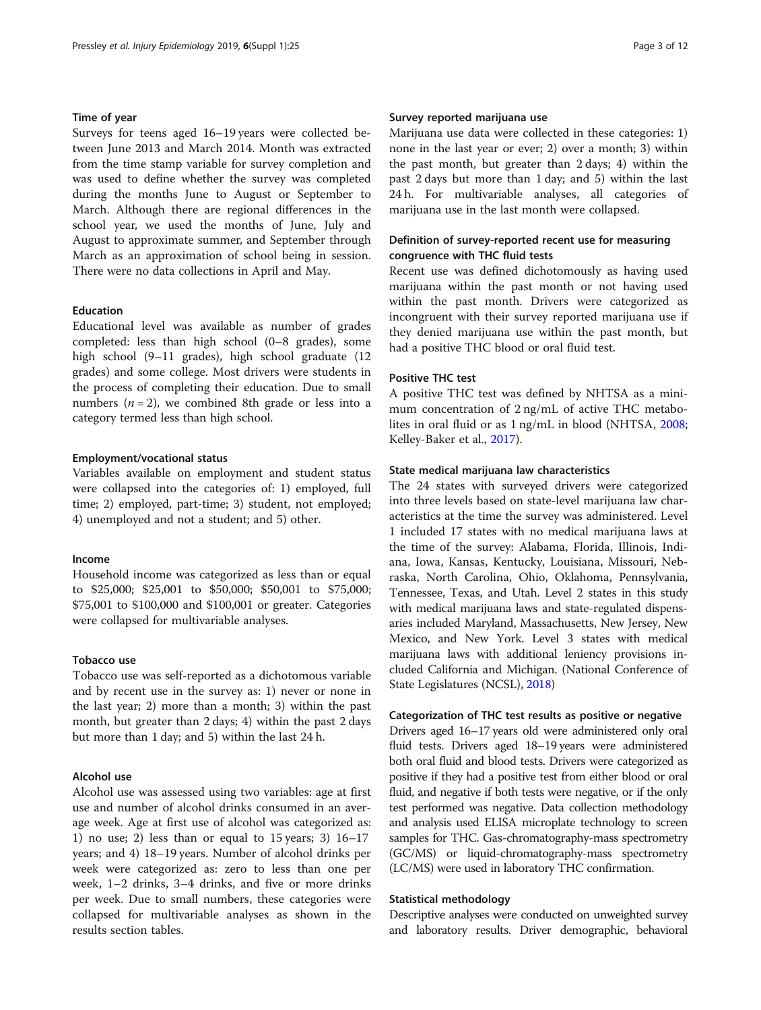#### Time of year

Surveys for teens aged 16–19 years were collected between June 2013 and March 2014. Month was extracted from the time stamp variable for survey completion and was used to define whether the survey was completed during the months June to August or September to March. Although there are regional differences in the school year, we used the months of June, July and August to approximate summer, and September through March as an approximation of school being in session. There were no data collections in April and May.

#### Education

Educational level was available as number of grades completed: less than high school (0–8 grades), some high school (9–11 grades), high school graduate (12 grades) and some college. Most drivers were students in the process of completing their education. Due to small numbers ( $n = 2$ ), we combined 8th grade or less into a category termed less than high school.

#### Employment/vocational status

Variables available on employment and student status were collapsed into the categories of: 1) employed, full time; 2) employed, part-time; 3) student, not employed; 4) unemployed and not a student; and 5) other.

#### Income

Household income was categorized as less than or equal to \$25,000; \$25,001 to \$50,000; \$50,001 to \$75,000; \$75,001 to \$100,000 and \$100,001 or greater. Categories were collapsed for multivariable analyses.

#### Tobacco use

Tobacco use was self-reported as a dichotomous variable and by recent use in the survey as: 1) never or none in the last year; 2) more than a month; 3) within the past month, but greater than 2 days; 4) within the past 2 days but more than 1 day; and 5) within the last 24 h.

#### Alcohol use

Alcohol use was assessed using two variables: age at first use and number of alcohol drinks consumed in an average week. Age at first use of alcohol was categorized as: 1) no use; 2) less than or equal to 15 years; 3) 16–17 years; and 4) 18–19 years. Number of alcohol drinks per week were categorized as: zero to less than one per week, 1–2 drinks, 3–4 drinks, and five or more drinks per week. Due to small numbers, these categories were collapsed for multivariable analyses as shown in the results section tables.

#### Survey reported marijuana use

Marijuana use data were collected in these categories: 1) none in the last year or ever; 2) over a month; 3) within the past month, but greater than 2 days; 4) within the past 2 days but more than 1 day; and 5) within the last 24 h. For multivariable analyses, all categories of marijuana use in the last month were collapsed.

#### Definition of survey-reported recent use for measuring congruence with THC fluid tests

Recent use was defined dichotomously as having used marijuana within the past month or not having used within the past month. Drivers were categorized as incongruent with their survey reported marijuana use if they denied marijuana use within the past month, but had a positive THC blood or oral fluid test.

#### Positive THC test

A positive THC test was defined by NHTSA as a minimum concentration of 2 ng/mL of active THC metabolites in oral fluid or as 1 ng/mL in blood (NHTSA, [2008](#page-11-0); Kelley-Baker et al., [2017\)](#page-11-0).

#### State medical marijuana law characteristics

The 24 states with surveyed drivers were categorized into three levels based on state-level marijuana law characteristics at the time the survey was administered. Level 1 included 17 states with no medical marijuana laws at the time of the survey: Alabama, Florida, Illinois, Indiana, Iowa, Kansas, Kentucky, Louisiana, Missouri, Nebraska, North Carolina, Ohio, Oklahoma, Pennsylvania, Tennessee, Texas, and Utah. Level 2 states in this study with medical marijuana laws and state-regulated dispensaries included Maryland, Massachusetts, New Jersey, New Mexico, and New York. Level 3 states with medical marijuana laws with additional leniency provisions included California and Michigan. (National Conference of State Legislatures (NCSL), [2018](#page-11-0))

#### Categorization of THC test results as positive or negative

Drivers aged 16–17 years old were administered only oral fluid tests. Drivers aged 18–19 years were administered both oral fluid and blood tests. Drivers were categorized as positive if they had a positive test from either blood or oral fluid, and negative if both tests were negative, or if the only test performed was negative. Data collection methodology and analysis used ELISA microplate technology to screen samples for THC. Gas-chromatography-mass spectrometry (GC/MS) or liquid-chromatography-mass spectrometry (LC/MS) were used in laboratory THC confirmation.

#### Statistical methodology

Descriptive analyses were conducted on unweighted survey and laboratory results. Driver demographic, behavioral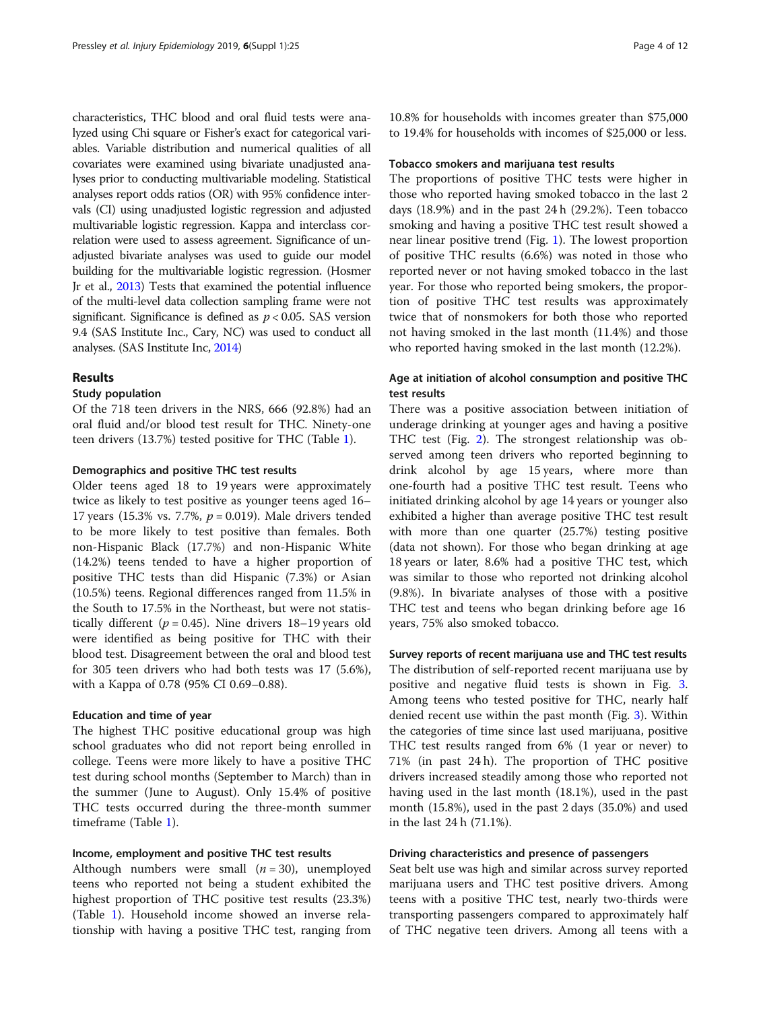characteristics, THC blood and oral fluid tests were analyzed using Chi square or Fisher's exact for categorical variables. Variable distribution and numerical qualities of all covariates were examined using bivariate unadjusted analyses prior to conducting multivariable modeling. Statistical analyses report odds ratios (OR) with 95% confidence intervals (CI) using unadjusted logistic regression and adjusted multivariable logistic regression. Kappa and interclass correlation were used to assess agreement. Significance of unadjusted bivariate analyses was used to guide our model building for the multivariable logistic regression. (Hosmer Jr et al., [2013](#page-11-0)) Tests that examined the potential influence of the multi-level data collection sampling frame were not significant. Significance is defined as  $p < 0.05$ . SAS version 9.4 (SAS Institute Inc., Cary, NC) was used to conduct all analyses. (SAS Institute Inc, [2014](#page-11-0))

#### Results

#### Study population

Of the 718 teen drivers in the NRS, 666 (92.8%) had an oral fluid and/or blood test result for THC. Ninety-one teen drivers (13.7%) tested positive for THC (Table [1\)](#page-4-0).

#### Demographics and positive THC test results

Older teens aged 18 to 19 years were approximately twice as likely to test positive as younger teens aged 16– 17 years (15.3% vs. 7.7%,  $p = 0.019$ ). Male drivers tended to be more likely to test positive than females. Both non-Hispanic Black (17.7%) and non-Hispanic White (14.2%) teens tended to have a higher proportion of positive THC tests than did Hispanic (7.3%) or Asian (10.5%) teens. Regional differences ranged from 11.5% in the South to 17.5% in the Northeast, but were not statistically different ( $p = 0.45$ ). Nine drivers 18–19 years old were identified as being positive for THC with their blood test. Disagreement between the oral and blood test for 305 teen drivers who had both tests was 17 (5.6%), with a Kappa of 0.78 (95% CI 0.69–0.88).

#### Education and time of year

The highest THC positive educational group was high school graduates who did not report being enrolled in college. Teens were more likely to have a positive THC test during school months (September to March) than in the summer (June to August). Only 15.4% of positive THC tests occurred during the three-month summer timeframe (Table [1\)](#page-4-0).

#### Income, employment and positive THC test results

Although numbers were small  $(n = 30)$ , unemployed teens who reported not being a student exhibited the highest proportion of THC positive test results (23.3%) (Table [1](#page-4-0)). Household income showed an inverse relationship with having a positive THC test, ranging from 10.8% for households with incomes greater than \$75,000 to 19.4% for households with incomes of \$25,000 or less.

#### Tobacco smokers and marijuana test results

The proportions of positive THC tests were higher in those who reported having smoked tobacco in the last 2 days (18.9%) and in the past 24 h (29.2%). Teen tobacco smoking and having a positive THC test result showed a near linear positive trend (Fig. [1](#page-5-0)). The lowest proportion of positive THC results (6.6%) was noted in those who reported never or not having smoked tobacco in the last year. For those who reported being smokers, the proportion of positive THC test results was approximately twice that of nonsmokers for both those who reported not having smoked in the last month (11.4%) and those who reported having smoked in the last month (12.2%).

#### Age at initiation of alcohol consumption and positive THC test results

There was a positive association between initiation of underage drinking at younger ages and having a positive THC test (Fig. [2\)](#page-6-0). The strongest relationship was observed among teen drivers who reported beginning to drink alcohol by age 15 years, where more than one-fourth had a positive THC test result. Teens who initiated drinking alcohol by age 14 years or younger also exhibited a higher than average positive THC test result with more than one quarter (25.7%) testing positive (data not shown). For those who began drinking at age 18 years or later, 8.6% had a positive THC test, which was similar to those who reported not drinking alcohol (9.8%). In bivariate analyses of those with a positive THC test and teens who began drinking before age 16 years, 75% also smoked tobacco.

Survey reports of recent marijuana use and THC test results The distribution of self-reported recent marijuana use by positive and negative fluid tests is shown in Fig. [3](#page-6-0). Among teens who tested positive for THC, nearly half denied recent use within the past month (Fig. [3](#page-6-0)). Within the categories of time since last used marijuana, positive THC test results ranged from 6% (1 year or never) to 71% (in past 24 h). The proportion of THC positive drivers increased steadily among those who reported not having used in the last month (18.1%), used in the past month (15.8%), used in the past 2 days (35.0%) and used in the last 24 h (71.1%).

#### Driving characteristics and presence of passengers

Seat belt use was high and similar across survey reported marijuana users and THC test positive drivers. Among teens with a positive THC test, nearly two-thirds were transporting passengers compared to approximately half of THC negative teen drivers. Among all teens with a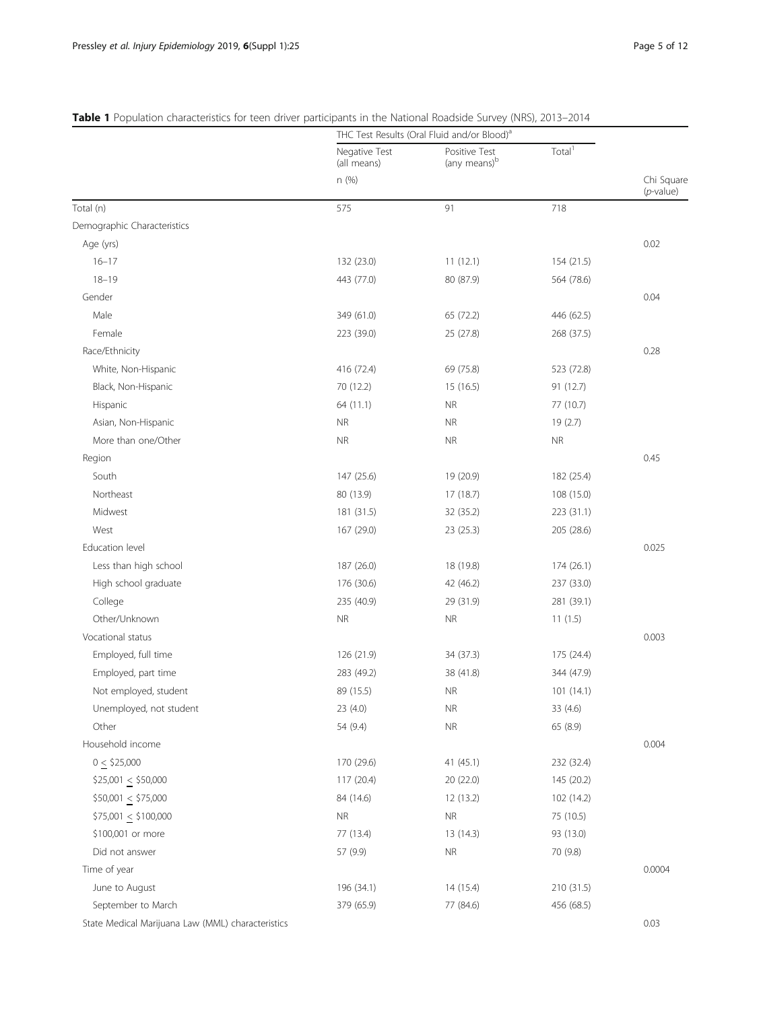|                                                   | THC Test Results (Oral Fluid and/or Blood) <sup>a</sup> |                                           |                    |                            |  |
|---------------------------------------------------|---------------------------------------------------------|-------------------------------------------|--------------------|----------------------------|--|
|                                                   | Negative Test<br>(all means)                            | Positive Test<br>(any means) <sup>b</sup> | Total <sup>1</sup> |                            |  |
|                                                   | n (%)                                                   |                                           |                    | Chi Square<br>$(p$ -value) |  |
| Total (n)                                         | 575                                                     | 91                                        | 718                |                            |  |
| Demographic Characteristics                       |                                                         |                                           |                    |                            |  |
| Age (yrs)                                         |                                                         |                                           |                    | 0.02                       |  |
| $16 - 17$                                         | 132 (23.0)                                              | 11(12.1)                                  | 154 (21.5)         |                            |  |
| $18 - 19$                                         | 443 (77.0)                                              | 80 (87.9)                                 | 564 (78.6)         |                            |  |
| Gender                                            |                                                         |                                           |                    | 0.04                       |  |
| Male                                              | 349 (61.0)                                              | 65 (72.2)                                 | 446 (62.5)         |                            |  |
| Female                                            | 223 (39.0)                                              | 25 (27.8)                                 | 268 (37.5)         |                            |  |
| Race/Ethnicity                                    |                                                         |                                           |                    | 0.28                       |  |
| White, Non-Hispanic                               | 416 (72.4)                                              | 69 (75.8)                                 | 523 (72.8)         |                            |  |
| Black, Non-Hispanic                               | 70 (12.2)                                               | 15 (16.5)                                 | 91 (12.7)          |                            |  |
| Hispanic                                          | 64 (11.1)                                               | <b>NR</b>                                 | 77 (10.7)          |                            |  |
| Asian, Non-Hispanic                               | <b>NR</b>                                               | <b>NR</b>                                 | 19(2.7)            |                            |  |
| More than one/Other                               | <b>NR</b>                                               | <b>NR</b>                                 | <b>NR</b>          |                            |  |
| Region                                            |                                                         |                                           |                    | 0.45                       |  |
| South                                             | 147 (25.6)                                              | 19 (20.9)                                 | 182 (25.4)         |                            |  |
| Northeast                                         | 80 (13.9)                                               | 17 (18.7)                                 | 108 (15.0)         |                            |  |
| Midwest                                           | 181 (31.5)                                              | 32 (35.2)                                 | 223 (31.1)         |                            |  |
| West                                              | 167 (29.0)                                              | 23 (25.3)                                 | 205 (28.6)         |                            |  |
| Education level                                   |                                                         |                                           |                    | 0.025                      |  |
| Less than high school                             | 187 (26.0)                                              | 18 (19.8)                                 | 174(26.1)          |                            |  |
| High school graduate                              | 176 (30.6)                                              | 42 (46.2)                                 | 237 (33.0)         |                            |  |
| College                                           | 235 (40.9)                                              | 29 (31.9)                                 | 281 (39.1)         |                            |  |
| Other/Unknown                                     | <b>NR</b>                                               | <b>NR</b>                                 | 11(1.5)            |                            |  |
| Vocational status                                 |                                                         |                                           |                    | 0.003                      |  |
| Employed, full time                               | 126 (21.9)                                              | 34 (37.3)                                 | 175 (24.4)         |                            |  |
| Employed, part time                               | 283 (49.2)                                              | 38 (41.8)                                 | 344 (47.9)         |                            |  |
| Not employed, student                             | 89 (15.5)                                               | <b>NR</b>                                 | 101(14.1)          |                            |  |
| Unemployed, not student                           | 23 (4.0)                                                | <b>NR</b>                                 | 33 (4.6)           |                            |  |
| Other                                             | 54 (9.4)                                                | <b>NR</b>                                 | 65 (8.9)           |                            |  |
| Household income                                  |                                                         |                                           |                    | 0.004                      |  |
| $0 \leq $25,000$                                  | 170 (29.6)                                              | 41(45.1)                                  | 232 (32.4)         |                            |  |
| $$25,001 \le $50,000$                             | 117 (20.4)                                              | 20 (22.0)                                 | 145 (20.2)         |                            |  |
| $$50,001 \le $75,000$                             | 84 (14.6)                                               | 12 (13.2)                                 | 102 (14.2)         |                            |  |
| $$75,001 \le $100,000$                            | <b>NR</b>                                               | <b>NR</b>                                 | 75 (10.5)          |                            |  |
| \$100,001 or more                                 | 77 (13.4)                                               | 13 (14.3)                                 | 93 (13.0)          |                            |  |
| Did not answer                                    | 57 (9.9)                                                | <b>NR</b>                                 | 70 (9.8)           |                            |  |
| Time of year                                      |                                                         |                                           |                    | 0.0004                     |  |
| June to August                                    | 196 (34.1)                                              | 14 (15.4)                                 | 210 (31.5)         |                            |  |
| September to March                                | 379 (65.9)                                              | 77 (84.6)                                 | 456 (68.5)         |                            |  |
| State Medical Marijuana Law (MML) characteristics |                                                         |                                           |                    | 0.03                       |  |

#### <span id="page-4-0"></span>Table 1 Population characteristics for teen driver participants in the National Roadside Survey (NRS), 2013-2014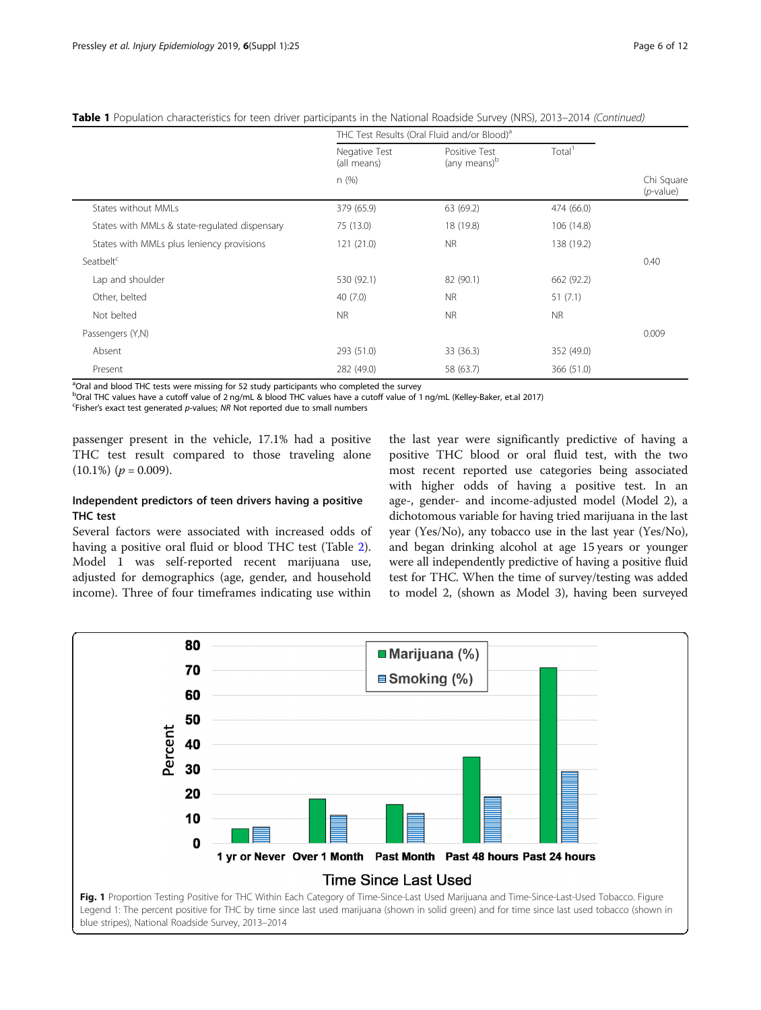<span id="page-5-0"></span>

|  |  |  |  |  |  | Table 1 Population characteristics for teen driver participants in the National Roadside Survey (NRS), 2013–2014 (Continued) |
|--|--|--|--|--|--|------------------------------------------------------------------------------------------------------------------------------|
|--|--|--|--|--|--|------------------------------------------------------------------------------------------------------------------------------|

|                                               | THC Test Results (Oral Fluid and/or Blood) <sup>a</sup> |                                           |                    |                            |
|-----------------------------------------------|---------------------------------------------------------|-------------------------------------------|--------------------|----------------------------|
|                                               | Negative Test<br>(all means)                            | Positive Test<br>(any means) <sup>b</sup> | Total <sup>1</sup> |                            |
|                                               | n(%)                                                    |                                           |                    | Chi Square<br>$(p$ -value) |
| States without MMLs                           | 379 (65.9)                                              | 63 (69.2)                                 | 474 (66.0)         |                            |
| States with MMLs & state-regulated dispensary | 75 (13.0)                                               | 18 (19.8)                                 | 106 (14.8)         |                            |
| States with MMLs plus leniency provisions     | 121(21.0)                                               | NR.                                       | 138 (19.2)         |                            |
| Seatbelt <sup>c</sup>                         |                                                         |                                           |                    | 0.40                       |
| Lap and shoulder                              | 530 (92.1)                                              | 82 (90.1)                                 | 662 (92.2)         |                            |
| Other, belted                                 | 40(7.0)                                                 | NR.                                       | 51(7.1)            |                            |
| Not belted                                    | <b>NR</b>                                               | <b>NR</b>                                 | <b>NR</b>          |                            |
| Passengers (Y,N)                              |                                                         |                                           |                    | 0.009                      |
| Absent                                        | 293 (51.0)                                              | 33 (36.3)                                 | 352 (49.0)         |                            |
| Present                                       | 282 (49.0)                                              | 58 (63.7)                                 | 366 (51.0)         |                            |

<sup>a</sup>Oral and blood THC tests were missing for 52 study participants who completed the survey

b<br>Oral THC values have a cutoff value of 2 ng/mL & blood THC values have a cutoff value of 1 ng/mL (Kelley-Baker, et.al 2017)

<sup>c</sup>Fisher's exact test generated p-values; NR Not reported due to small numbers

passenger present in the vehicle, 17.1% had a positive THC test result compared to those traveling alone  $(10.1\%)$   $(p = 0.009)$ .

#### Independent predictors of teen drivers having a positive THC test

Several factors were associated with increased odds of having a positive oral fluid or blood THC test (Table [2](#page-7-0)). Model 1 was self-reported recent marijuana use, adjusted for demographics (age, gender, and household income). Three of four timeframes indicating use within

the last year were significantly predictive of having a positive THC blood or oral fluid test, with the two most recent reported use categories being associated with higher odds of having a positive test. In an age-, gender- and income-adjusted model (Model 2), a dichotomous variable for having tried marijuana in the last year (Yes/No), any tobacco use in the last year (Yes/No), and began drinking alcohol at age 15 years or younger were all independently predictive of having a positive fluid test for THC. When the time of survey/testing was added to model 2, (shown as Model 3), having been surveyed

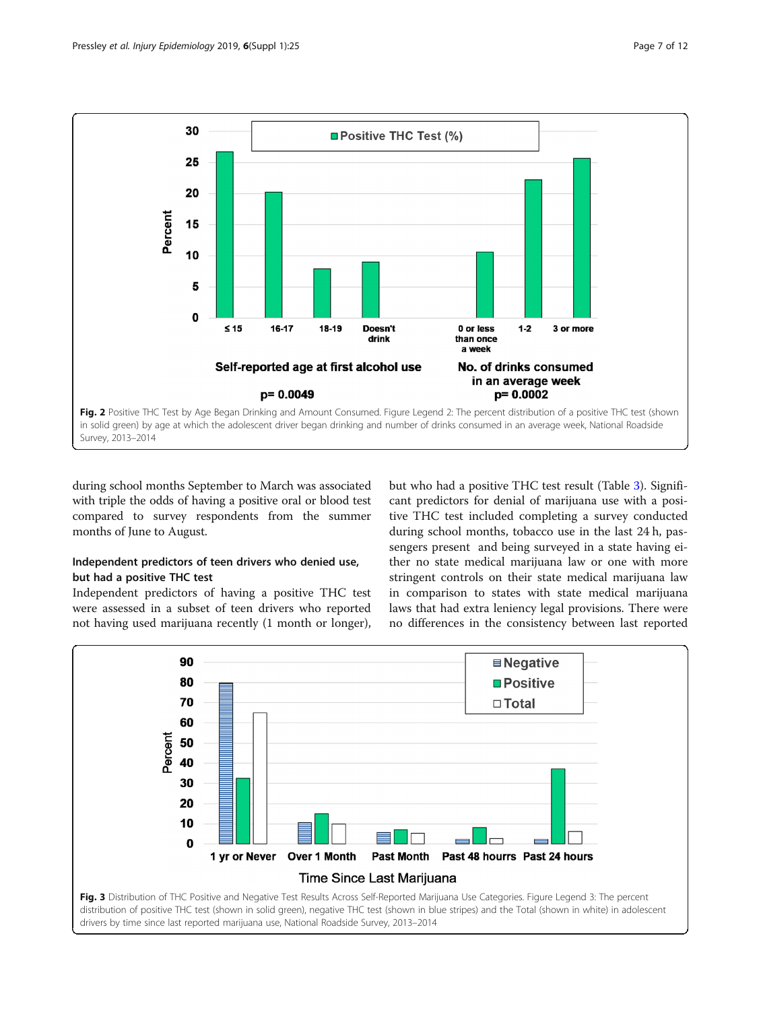<span id="page-6-0"></span>

during school months September to March was associated with triple the odds of having a positive oral or blood test compared to survey respondents from the summer months of June to August.

#### Independent predictors of teen drivers who denied use, but had a positive THC test

Independent predictors of having a positive THC test were assessed in a subset of teen drivers who reported not having used marijuana recently (1 month or longer),

but who had a positive THC test result (Table [3\)](#page-8-0). Significant predictors for denial of marijuana use with a positive THC test included completing a survey conducted during school months, tobacco use in the last 24 h, passengers present and being surveyed in a state having either no state medical marijuana law or one with more stringent controls on their state medical marijuana law in comparison to states with state medical marijuana laws that had extra leniency legal provisions. There were no differences in the consistency between last reported

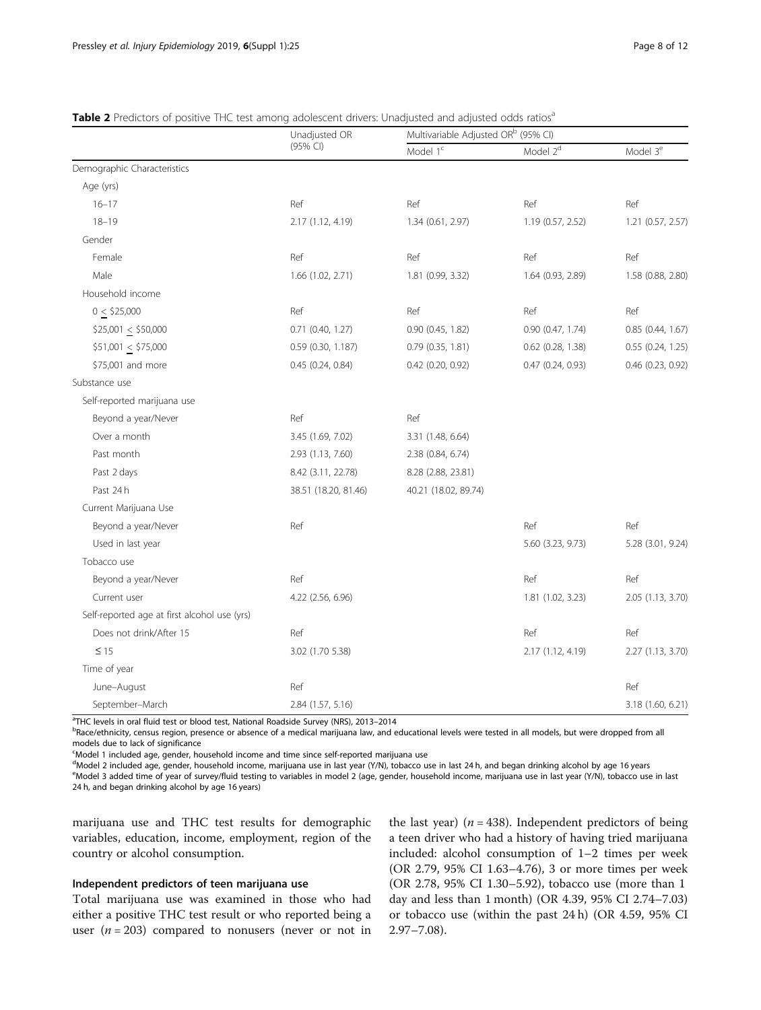<span id="page-7-0"></span>

| Table 2 Predictors of positive THC test among adolescent drivers: Unadjusted and adjusted odds ratios <sup>a</sup> |  |  |  |
|--------------------------------------------------------------------------------------------------------------------|--|--|--|
|                                                                                                                    |  |  |  |

|                                              | Unadjusted OR        | Multivariable Adjusted OR <sup>b</sup> (95% CI) |                   |                      |  |
|----------------------------------------------|----------------------|-------------------------------------------------|-------------------|----------------------|--|
|                                              | (95% CI)             | Model 1 <sup>c</sup>                            | Model $2d$        | Model 3 <sup>e</sup> |  |
| Demographic Characteristics                  |                      |                                                 |                   |                      |  |
| Age (yrs)                                    |                      |                                                 |                   |                      |  |
| $16 - 17$                                    | Ref                  | Ref                                             | Ref               | Ref                  |  |
| $18 - 19$                                    | 2.17 (1.12, 4.19)    | 1.34 (0.61, 2.97)                               | 1.19 (0.57, 2.52) | 1.21 (0.57, 2.57)    |  |
| Gender                                       |                      |                                                 |                   |                      |  |
| Female                                       | Ref                  | Ref                                             | Ref               | Ref                  |  |
| Male                                         | 1.66 (1.02, 2.71)    | 1.81 (0.99, 3.32)                               | 1.64 (0.93, 2.89) | 1.58 (0.88, 2.80)    |  |
| Household income                             |                      |                                                 |                   |                      |  |
| $0 \leq $25,000$                             | Ref                  | Ref                                             | Ref               | Ref                  |  |
| $$25,001 \le $50,000$                        | $0.71$ (0.40, 1.27)  | 0.90 (0.45, 1.82)                               | 0.90(0.47, 1.74)  | $0.85$ (0.44, 1.67)  |  |
| $$51,001 \le $75,000$                        | 0.59 (0.30, 1.187)   | 0.79 (0.35, 1.81)                               | 0.62 (0.28, 1.38) | 0.55 (0.24, 1.25)    |  |
| \$75,001 and more                            | 0.45 (0.24, 0.84)    | 0.42 (0.20, 0.92)                               | 0.47 (0.24, 0.93) | 0.46 (0.23, 0.92)    |  |
| Substance use                                |                      |                                                 |                   |                      |  |
| Self-reported marijuana use                  |                      |                                                 |                   |                      |  |
| Beyond a year/Never                          | Ref                  | Ref                                             |                   |                      |  |
| Over a month                                 | 3.45 (1.69, 7.02)    | 3.31 (1.48, 6.64)                               |                   |                      |  |
| Past month                                   | 2.93 (1.13, 7.60)    | 2.38 (0.84, 6.74)                               |                   |                      |  |
| Past 2 days                                  | 8.42 (3.11, 22.78)   | 8.28 (2.88, 23.81)                              |                   |                      |  |
| Past 24 h                                    | 38.51 (18.20, 81.46) | 40.21 (18.02, 89.74)                            |                   |                      |  |
| Current Marijuana Use                        |                      |                                                 |                   |                      |  |
| Beyond a year/Never                          | Ref                  |                                                 | Ref               | Ref                  |  |
| Used in last year                            |                      |                                                 | 5.60 (3.23, 9.73) | 5.28 (3.01, 9.24)    |  |
| Tobacco use                                  |                      |                                                 |                   |                      |  |
| Beyond a year/Never                          | Ref                  |                                                 | Ref               | Ref                  |  |
| Current user                                 | 4.22 (2.56, 6.96)    |                                                 | 1.81 (1.02, 3.23) | 2.05 (1.13, 3.70)    |  |
| Self-reported age at first alcohol use (yrs) |                      |                                                 |                   |                      |  |
| Does not drink/After 15                      | Ref                  |                                                 | Ref               | Ref                  |  |
| $\leq 15$                                    | 3.02 (1.70 5.38)     |                                                 | 2.17 (1.12, 4.19) | 2.27 (1.13, 3.70)    |  |
| Time of year                                 |                      |                                                 |                   |                      |  |
| June-August                                  | Ref                  |                                                 |                   | Ref                  |  |
| September-March                              | 2.84 (1.57, 5.16)    |                                                 |                   | 3.18 (1.60, 6.21)    |  |

<sup>a</sup>THC levels in oral fluid test or blood test. National Roadside Survey (NRS), 2013-2014

<sup>a</sup>THC levels in oral fluid test or blood test, National Roadside Survey (NRS), 2013–2014<br><sup>b</sup>Race/ethnicity, census region, presence or absence of a medical marijuana law, and educational levels were tested in all models, models due to lack of significance

<sup>c</sup>Model 1 included age, gender, household income and time since self-reported marijuana use

<sup>d</sup>Model 2 included age, gender, household income, marijuana use in last year (Y/N), tobacco use in last 24 h, and began drinking alcohol by age 16 years

e Model 3 added time of year of survey/fluid testing to variables in model 2 (age, gender, household income, marijuana use in last year (Y/N), tobacco use in last 24 h, and began drinking alcohol by age 16 years)

marijuana use and THC test results for demographic variables, education, income, employment, region of the country or alcohol consumption.

#### Independent predictors of teen marijuana use

Total marijuana use was examined in those who had either a positive THC test result or who reported being a user ( $n = 203$ ) compared to nonusers (never or not in

the last year) ( $n = 438$ ). Independent predictors of being a teen driver who had a history of having tried marijuana included: alcohol consumption of 1–2 times per week (OR 2.79, 95% CI 1.63–4.76), 3 or more times per week (OR 2.78, 95% CI 1.30–5.92), tobacco use (more than 1 day and less than 1 month) (OR 4.39, 95% CI 2.74–7.03) or tobacco use (within the past 24 h) (OR 4.59, 95% CI 2.97–7.08).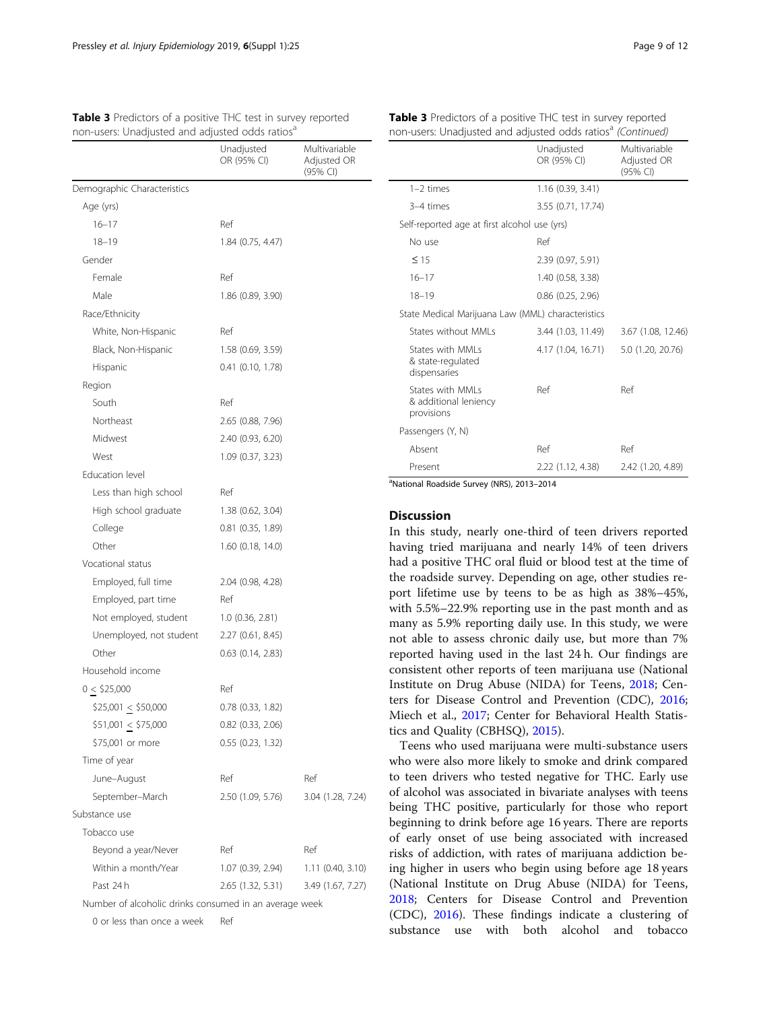non-users: Unadjusted and adjusted odds ratios<sup>a</sup>

<span id="page-8-0"></span>Table 3 Predictors of a positive THC test in survey reported

|                                                        | Unadjusted<br>OR (95% CI) | Multivariable<br>Adjusted OR<br>(95% CI) |
|--------------------------------------------------------|---------------------------|------------------------------------------|
| Demographic Characteristics                            |                           |                                          |
| Age (yrs)                                              |                           |                                          |
| $16 - 17$                                              | Ref                       |                                          |
| $18 - 19$                                              | 1.84 (0.75, 4.47)         |                                          |
| Gender                                                 |                           |                                          |
| Female                                                 | Ref                       |                                          |
| Male                                                   | 1.86 (0.89, 3.90)         |                                          |
| Race/Ethnicity                                         |                           |                                          |
| White, Non-Hispanic                                    | Ref                       |                                          |
| Black, Non-Hispanic                                    | 1.58 (0.69, 3.59)         |                                          |
| Hispanic                                               | 0.41 (0.10, 1.78)         |                                          |
| Region                                                 |                           |                                          |
| South                                                  | Ref                       |                                          |
| Northeast                                              | 2.65 (0.88, 7.96)         |                                          |
| Midwest                                                | 2.40 (0.93, 6.20)         |                                          |
| West                                                   | 1.09 (0.37, 3.23)         |                                          |
| <b>Education level</b>                                 |                           |                                          |
| Less than high school                                  | Ref                       |                                          |
| High school graduate                                   | 1.38 (0.62, 3.04)         |                                          |
| College                                                | $0.81$ (0.35, 1.89)       |                                          |
| Other                                                  | $1.60$ (0.18, 14.0)       |                                          |
| Vocational status                                      |                           |                                          |
| Employed, full time                                    | 2.04 (0.98, 4.28)         |                                          |
| Employed, part time                                    | Ref                       |                                          |
| Not employed, student                                  | 1.0(0.36, 2.81)           |                                          |
| Unemployed, not student                                | 2.27 (0.61, 8.45)         |                                          |
| Other                                                  | $0.63$ $(0.14, 2.83)$     |                                          |
| Household income                                       |                           |                                          |
| 0 < \$25,000                                           | Ref                       |                                          |
| $$25,001 \le $50,000$                                  | 0.78 (0.33, 1.82)         |                                          |
| $$51,001 \le $75,000$                                  | $0.82$ $(0.33, 2.06)$     |                                          |
| \$75,001 or more                                       | $0.55$ $(0.23, 1.32)$     |                                          |
| Time of year                                           |                           |                                          |
| June-August                                            | Ref                       | Ref                                      |
| September-March                                        | 2.50 (1.09, 5.76)         | 3.04 (1.28, 7.24)                        |
| Substance use                                          |                           |                                          |
| Tobacco use                                            |                           |                                          |
| Beyond a year/Never                                    | Ref                       | Ref                                      |
| Within a month/Year                                    | 1.07 (0.39, 2.94)         | 1.11(0.40, 3.10)                         |
| Past 24 h                                              | 2.65 (1.32, 5.31)         | 3.49 (1.67, 7.27)                        |
| Number of alcoholic drinks consumed in an average week |                           |                                          |

0 or less than once a week Ref

|  | Table 3 Predictors of a positive THC test in survey reported            |  |  |  |
|--|-------------------------------------------------------------------------|--|--|--|
|  | non-users: Unadjusted and adjusted odds ratios <sup>a</sup> (Continued) |  |  |  |

|                                                          | Unadjusted<br>OR (95% CI) | Multivariable<br>Adjusted OR<br>(95% CI) |
|----------------------------------------------------------|---------------------------|------------------------------------------|
| $1-2$ times                                              | 1.16(0.39, 3.41)          |                                          |
| 3-4 times                                                | 3.55 (0.71, 17.74)        |                                          |
| Self-reported age at first alcohol use (yrs)             |                           |                                          |
| No use                                                   | Ref                       |                                          |
| $\leq$ 15                                                | 2.39 (0.97, 5.91)         |                                          |
| $16 - 17$                                                | 1.40 (0.58, 3.38)         |                                          |
| $18 - 19$                                                | $0.86$ $(0.25, 2.96)$     |                                          |
| State Medical Marijuana Law (MML) characteristics        |                           |                                          |
| States without MMI s                                     | 3.44 (1.03, 11.49)        | 3.67 (1.08, 12.46)                       |
| States with MMI s<br>& state-regulated<br>dispensaries   | 4.17 (1.04, 16.71)        | 5.0 (1.20, 20.76)                        |
| States with MMI s<br>& additional leniency<br>provisions | Ref                       | Ref                                      |
| Passengers (Y, N)                                        |                           |                                          |
| Absent                                                   | Ref                       | Ref                                      |
| Present                                                  | 2.22 (1.12, 4.38)         | 2.42 (1.20, 4.89)                        |

a National Roadside Survey (NRS), 2013–2014

#### **Discussion**

In this study, nearly one-third of teen drivers reported having tried marijuana and nearly 14% of teen drivers had a positive THC oral fluid or blood test at the time of the roadside survey. Depending on age, other studies report lifetime use by teens to be as high as 38%–45%, with 5.5%–22.9% reporting use in the past month and as many as 5.9% reporting daily use. In this study, we were not able to assess chronic daily use, but more than 7% reported having used in the last 24 h. Our findings are consistent other reports of teen marijuana use (National Institute on Drug Abuse (NIDA) for Teens, [2018;](#page-11-0) Centers for Disease Control and Prevention (CDC), [2016](#page-10-0); Miech et al., [2017](#page-11-0); Center for Behavioral Health Statistics and Quality (CBHSQ), [2015](#page-10-0)).

Teens who used marijuana were multi-substance users who were also more likely to smoke and drink compared to teen drivers who tested negative for THC. Early use of alcohol was associated in bivariate analyses with teens being THC positive, particularly for those who report beginning to drink before age 16 years. There are reports of early onset of use being associated with increased risks of addiction, with rates of marijuana addiction being higher in users who begin using before age 18 years (National Institute on Drug Abuse (NIDA) for Teens, [2018](#page-11-0); Centers for Disease Control and Prevention (CDC), [2016](#page-10-0)). These findings indicate a clustering of substance use with both alcohol and tobacco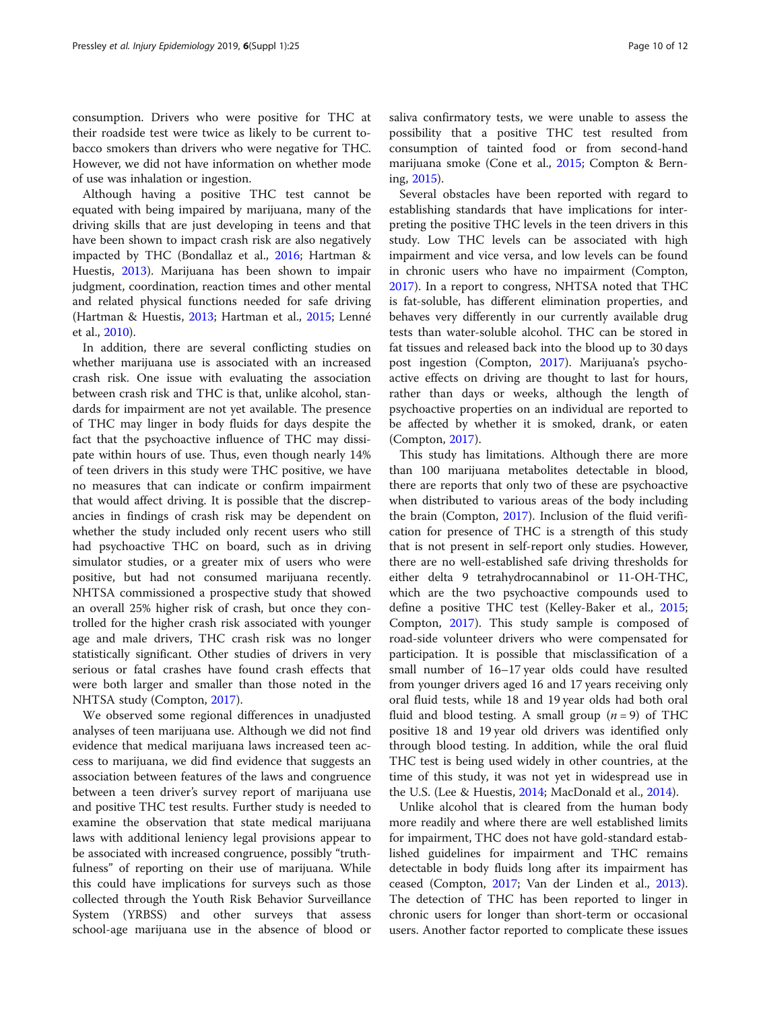consumption. Drivers who were positive for THC at their roadside test were twice as likely to be current tobacco smokers than drivers who were negative for THC. However, we did not have information on whether mode of use was inhalation or ingestion.

Although having a positive THC test cannot be equated with being impaired by marijuana, many of the driving skills that are just developing in teens and that have been shown to impact crash risk are also negatively impacted by THC (Bondallaz et al., [2016;](#page-10-0) Hartman & Huestis, [2013\)](#page-11-0). Marijuana has been shown to impair judgment, coordination, reaction times and other mental and related physical functions needed for safe driving (Hartman & Huestis, [2013](#page-11-0); Hartman et al., [2015;](#page-11-0) Lenné et al., [2010](#page-11-0)).

In addition, there are several conflicting studies on whether marijuana use is associated with an increased crash risk. One issue with evaluating the association between crash risk and THC is that, unlike alcohol, standards for impairment are not yet available. The presence of THC may linger in body fluids for days despite the fact that the psychoactive influence of THC may dissipate within hours of use. Thus, even though nearly 14% of teen drivers in this study were THC positive, we have no measures that can indicate or confirm impairment that would affect driving. It is possible that the discrepancies in findings of crash risk may be dependent on whether the study included only recent users who still had psychoactive THC on board, such as in driving simulator studies, or a greater mix of users who were positive, but had not consumed marijuana recently. NHTSA commissioned a prospective study that showed an overall 25% higher risk of crash, but once they controlled for the higher crash risk associated with younger age and male drivers, THC crash risk was no longer statistically significant. Other studies of drivers in very serious or fatal crashes have found crash effects that were both larger and smaller than those noted in the NHTSA study (Compton, [2017\)](#page-10-0).

We observed some regional differences in unadjusted analyses of teen marijuana use. Although we did not find evidence that medical marijuana laws increased teen access to marijuana, we did find evidence that suggests an association between features of the laws and congruence between a teen driver's survey report of marijuana use and positive THC test results. Further study is needed to examine the observation that state medical marijuana laws with additional leniency legal provisions appear to be associated with increased congruence, possibly "truthfulness" of reporting on their use of marijuana. While this could have implications for surveys such as those collected through the Youth Risk Behavior Surveillance System (YRBSS) and other surveys that assess school-age marijuana use in the absence of blood or saliva confirmatory tests, we were unable to assess the possibility that a positive THC test resulted from consumption of tainted food or from second-hand marijuana smoke (Cone et al., [2015](#page-10-0); Compton & Berning, [2015](#page-10-0)).

Several obstacles have been reported with regard to establishing standards that have implications for interpreting the positive THC levels in the teen drivers in this study. Low THC levels can be associated with high impairment and vice versa, and low levels can be found in chronic users who have no impairment (Compton, [2017](#page-10-0)). In a report to congress, NHTSA noted that THC is fat-soluble, has different elimination properties, and behaves very differently in our currently available drug tests than water-soluble alcohol. THC can be stored in fat tissues and released back into the blood up to 30 days post ingestion (Compton, [2017](#page-10-0)). Marijuana's psychoactive effects on driving are thought to last for hours, rather than days or weeks, although the length of psychoactive properties on an individual are reported to be affected by whether it is smoked, drank, or eaten (Compton, [2017](#page-10-0)).

This study has limitations. Although there are more than 100 marijuana metabolites detectable in blood, there are reports that only two of these are psychoactive when distributed to various areas of the body including the brain (Compton, [2017\)](#page-10-0). Inclusion of the fluid verification for presence of THC is a strength of this study that is not present in self-report only studies. However, there are no well-established safe driving thresholds for either delta 9 tetrahydrocannabinol or 11-OH-THC, which are the two psychoactive compounds used to define a positive THC test (Kelley-Baker et al., [2015](#page-11-0); Compton, [2017\)](#page-10-0). This study sample is composed of road-side volunteer drivers who were compensated for participation. It is possible that misclassification of a small number of 16–17 year olds could have resulted from younger drivers aged 16 and 17 years receiving only oral fluid tests, while 18 and 19 year olds had both oral fluid and blood testing. A small group  $(n = 9)$  of THC positive 18 and 19 year old drivers was identified only through blood testing. In addition, while the oral fluid THC test is being used widely in other countries, at the time of this study, it was not yet in widespread use in the U.S. (Lee & Huestis, [2014;](#page-11-0) MacDonald et al., [2014](#page-11-0)).

Unlike alcohol that is cleared from the human body more readily and where there are well established limits for impairment, THC does not have gold-standard established guidelines for impairment and THC remains detectable in body fluids long after its impairment has ceased (Compton, [2017](#page-10-0); Van der Linden et al., [2013](#page-11-0)). The detection of THC has been reported to linger in chronic users for longer than short-term or occasional users. Another factor reported to complicate these issues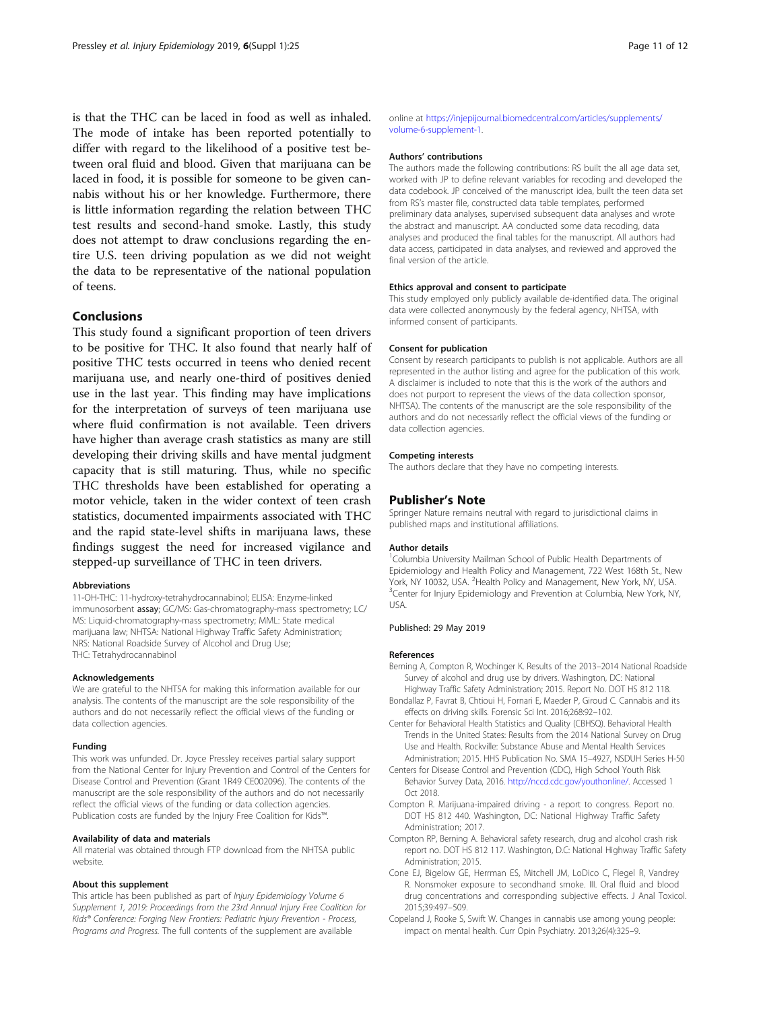<span id="page-10-0"></span>is that the THC can be laced in food as well as inhaled. The mode of intake has been reported potentially to differ with regard to the likelihood of a positive test between oral fluid and blood. Given that marijuana can be laced in food, it is possible for someone to be given cannabis without his or her knowledge. Furthermore, there is little information regarding the relation between THC test results and second-hand smoke. Lastly, this study does not attempt to draw conclusions regarding the entire U.S. teen driving population as we did not weight the data to be representative of the national population of teens.

#### Conclusions

This study found a significant proportion of teen drivers to be positive for THC. It also found that nearly half of positive THC tests occurred in teens who denied recent marijuana use, and nearly one-third of positives denied use in the last year. This finding may have implications for the interpretation of surveys of teen marijuana use where fluid confirmation is not available. Teen drivers have higher than average crash statistics as many are still developing their driving skills and have mental judgment capacity that is still maturing. Thus, while no specific THC thresholds have been established for operating a motor vehicle, taken in the wider context of teen crash statistics, documented impairments associated with THC and the rapid state-level shifts in marijuana laws, these findings suggest the need for increased vigilance and stepped-up surveillance of THC in teen drivers.

#### Abbreviations

11-OH-THC: 11-hydroxy-tetrahydrocannabinol; ELISA: Enzyme-linked immunosorbent assay; GC/MS: Gas-chromatography-mass spectrometry; LC/ MS: Liquid-chromatography-mass spectrometry; MML: State medical marijuana law; NHTSA: National Highway Traffic Safety Administration; NRS: National Roadside Survey of Alcohol and Drug Use; THC: Tetrahydrocannabinol

#### Acknowledgements

We are grateful to the NHTSA for making this information available for our analysis. The contents of the manuscript are the sole responsibility of the authors and do not necessarily reflect the official views of the funding or data collection agencies.

#### Funding

This work was unfunded. Dr. Joyce Pressley receives partial salary support from the National Center for Injury Prevention and Control of the Centers for Disease Control and Prevention (Grant 1R49 CE002096). The contents of the manuscript are the sole responsibility of the authors and do not necessarily reflect the official views of the funding or data collection agencies. Publication costs are funded by the Injury Free Coalition for Kids™.

#### Availability of data and materials

All material was obtained through FTP download from the NHTSA public website.

#### About this supplement

This article has been published as part of Injury Epidemiology Volume 6 Supplement 1, 2019: Proceedings from the 23rd Annual Injury Free Coalition for Kids® Conference: Forging New Frontiers: Pediatric Injury Prevention - Process, Programs and Progress. The full contents of the supplement are available

online at [https://injepijournal.biomedcentral.com/articles/supplements/](https://injepijournal.biomedcentral.com/articles/supplements/volume-6-supplement-1) [volume-6-supplement-1.](https://injepijournal.biomedcentral.com/articles/supplements/volume-6-supplement-1)

#### Authors' contributions

The authors made the following contributions: RS built the all age data set, worked with JP to define relevant variables for recoding and developed the data codebook. JP conceived of the manuscript idea, built the teen data set from RS's master file, constructed data table templates, performed preliminary data analyses, supervised subsequent data analyses and wrote the abstract and manuscript. AA conducted some data recoding, data analyses and produced the final tables for the manuscript. All authors had data access, participated in data analyses, and reviewed and approved the final version of the article.

#### Ethics approval and consent to participate

This study employed only publicly available de-identified data. The original data were collected anonymously by the federal agency, NHTSA, with informed consent of participants.

#### Consent for publication

Consent by research participants to publish is not applicable. Authors are all represented in the author listing and agree for the publication of this work. A disclaimer is included to note that this is the work of the authors and does not purport to represent the views of the data collection sponsor, NHTSA). The contents of the manuscript are the sole responsibility of the authors and do not necessarily reflect the official views of the funding or data collection agencies.

#### Competing interests

The authors declare that they have no competing interests.

#### Publisher's Note

Springer Nature remains neutral with regard to jurisdictional claims in published maps and institutional affiliations.

#### Author details

<sup>1</sup>Columbia University Mailman School of Public Health Departments of Epidemiology and Health Policy and Management, 722 West 168th St., New York, NY 10032, USA. <sup>2</sup> Health Policy and Management, New York, NY, USA.<br><sup>3</sup>Conter for Injune Enidemieleau and Provention at Columbia, New York, NJ <sup>3</sup> Center for Injury Epidemiology and Prevention at Columbia, New York, NY, USA.

#### Published: 29 May 2019

#### References

- Berning A, Compton R, Wochinger K. Results of the 2013–2014 National Roadside Survey of alcohol and drug use by drivers. Washington, DC: National Highway Traffic Safety Administration; 2015. Report No. DOT HS 812 118.
- Bondallaz P, Favrat B, Chtioui H, Fornari E, Maeder P, Giroud C. Cannabis and its effects on driving skills. Forensic Sci Int. 2016;268:92–102.
- Center for Behavioral Health Statistics and Quality (CBHSQ). Behavioral Health Trends in the United States: Results from the 2014 National Survey on Drug Use and Health. Rockville: Substance Abuse and Mental Health Services Administration; 2015. HHS Publication No. SMA 15–4927, NSDUH Series H-50
- Centers for Disease Control and Prevention (CDC), High School Youth Risk Behavior Survey Data, 2016. <http://nccd.cdc.gov/youthonline/>. Accessed 1 Oct 2018.
- Compton R. Marijuana-impaired driving a report to congress. Report no. DOT HS 812 440. Washington, DC: National Highway Traffic Safety Administration; 2017.
- Compton RP, Berning A. Behavioral safety research, drug and alcohol crash risk report no. DOT HS 812 117. Washington, D.C: National Highway Traffic Safety Administration; 2015.
- Cone EJ, Bigelow GE, Herrman ES, Mitchell JM, LoDico C, Flegel R, Vandrey R. Nonsmoker exposure to secondhand smoke. III. Oral fluid and blood drug concentrations and corresponding subjective effects. J Anal Toxicol. 2015;39:497–509.
- Copeland J, Rooke S, Swift W. Changes in cannabis use among young people: impact on mental health. Curr Opin Psychiatry. 2013;26(4):325–9.